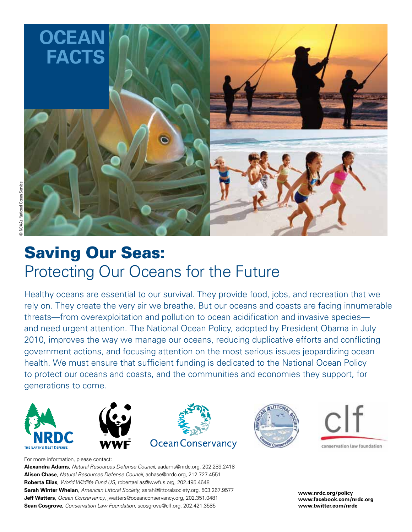

# Saving Our Seas: Protecting Our Oceans for the Future

Healthy oceans are essential to our survival. They provide food, jobs, and recreation that we rely on. They create the very air we breathe. But our oceans and coasts are facing innumerable threats—from overexploitation and pollution to ocean acidification and invasive species and need urgent attention. The National Ocean Policy, adopted by President Obama in July 2010, improves the way we manage our oceans, reducing duplicative efforts and conflicting government actions, and focusing attention on the most serious issues jeopardizing ocean health. We must ensure that sufficient funding is dedicated to the National Ocean Policy to protect our oceans and coasts, and the communities and economies they support, for generations to come.











For more information, please contact:

**Alexandra Adams**, *Natural Resources Defense Council*, aadams@nrdc.org, 202.289.2418 **Alison Chase**, *Natural Resources Defense Council*, achase@nrdc.org, 212.727.4551 **Roberta Elias**, *World Wildlife Fund US*, robertaelias@wwfus.org, 202.495.4648 **Sarah Winter Whelan**, *American Littoral Society*, sarah@littoralsociety.org, 503.267.9577 **Jeff Watters**, *Ocean Conservancy*, jwatters@oceanconservancy.org, 202.351.0481 **Sean Cosgrove,** *Conservation Law Foundation*, scosgrove@clf.org, 202.421.3585

**www.nrdc.org/policy www.facebook.com/nrdc.org www.twitter.com/nrdc**